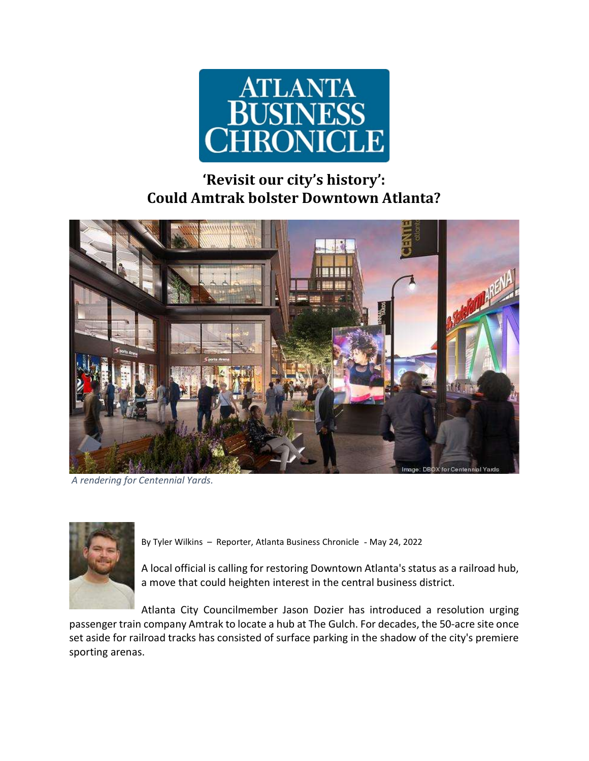

## 'Revisit our city's history': Could Amtrak bolster Downtown Atlanta?



A rendering for Centennial Yards.



By Tyler Wilkins – Reporter, Atlanta Business Chronicle - May 24, 2022

A local official is calling for restoring Downtown Atlanta's status as a railroad hub, a move that could heighten interest in the central business district.

Atlanta City Councilmember Jason Dozier has introduced a resolution urging passenger train company Amtrak to locate a hub at The Gulch. For decades, the 50-acre site once set aside for railroad tracks has consisted of surface parking in the shadow of the city's premiere sporting arenas.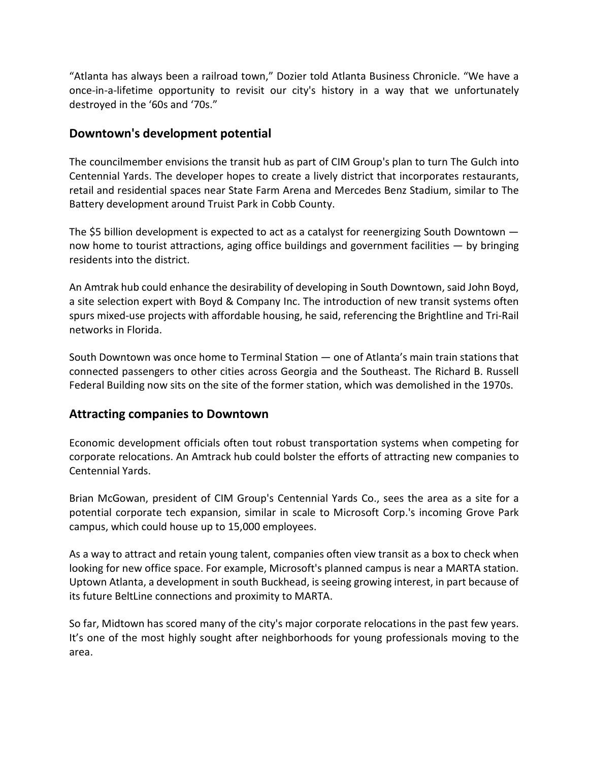"Atlanta has always been a railroad town," Dozier told Atlanta Business Chronicle. "We have a once-in-a-lifetime opportunity to revisit our city's history in a way that we unfortunately destroyed in the '60s and '70s."

## Downtown's development potential

The councilmember envisions the transit hub as part of CIM Group's plan to turn The Gulch into Centennial Yards. The developer hopes to create a lively district that incorporates restaurants, retail and residential spaces near State Farm Arena and Mercedes Benz Stadium, similar to The Battery development around Truist Park in Cobb County.

The \$5 billion development is expected to act as a catalyst for reenergizing South Downtown now home to tourist attractions, aging office buildings and government facilities — by bringing residents into the district.

An Amtrak hub could enhance the desirability of developing in South Downtown, said John Boyd, a site selection expert with Boyd & Company Inc. The introduction of new transit systems often spurs mixed-use projects with affordable housing, he said, referencing the Brightline and Tri-Rail networks in Florida.

South Downtown was once home to Terminal Station — one of Atlanta's main train stations that connected passengers to other cities across Georgia and the Southeast. The Richard B. Russell Federal Building now sits on the site of the former station, which was demolished in the 1970s.

## Attracting companies to Downtown

Economic development officials often tout robust transportation systems when competing for corporate relocations. An Amtrack hub could bolster the efforts of attracting new companies to Centennial Yards.

Brian McGowan, president of CIM Group's Centennial Yards Co., sees the area as a site for a potential corporate tech expansion, similar in scale to Microsoft Corp.'s incoming Grove Park campus, which could house up to 15,000 employees.

As a way to attract and retain young talent, companies often view transit as a box to check when looking for new office space. For example, Microsoft's planned campus is near a MARTA station. Uptown Atlanta, a development in south Buckhead, is seeing growing interest, in part because of its future BeltLine connections and proximity to MARTA.

So far, Midtown has scored many of the city's major corporate relocations in the past few years. It's one of the most highly sought after neighborhoods for young professionals moving to the area.